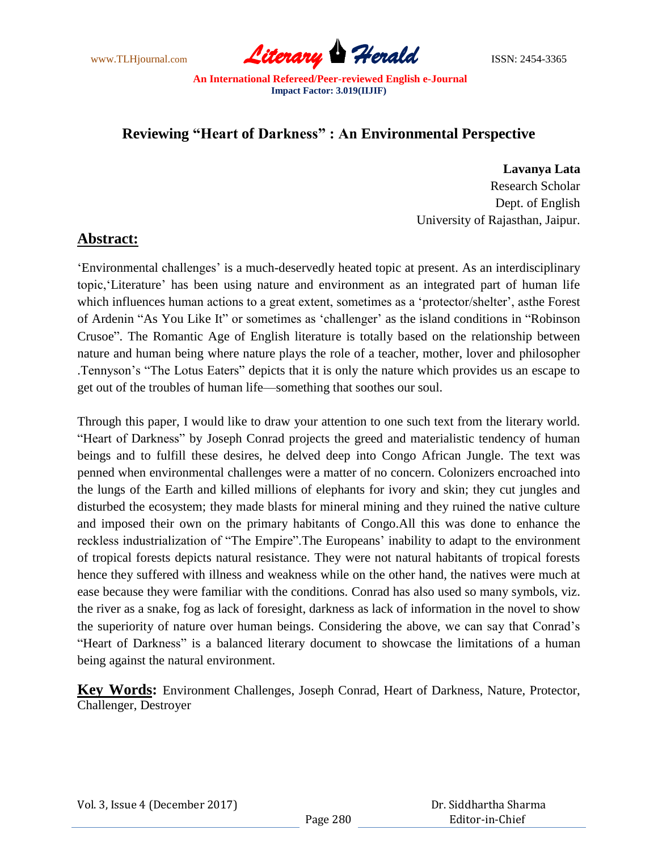www.TLHjournal.com **Literary Herald ISSN: 2454-3365** 

# **Reviewing "Heart of Darkness" : An Environmental Perspective**

 **Lavanya Lata** Research Scholar Dept. of English University of Rajasthan, Jaipur.

## **Abstract:**

"Environmental challenges" is a much-deservedly heated topic at present. As an interdisciplinary topic,"Literature" has been using nature and environment as an integrated part of human life which influences human actions to a great extent, sometimes as a 'protector/shelter', asthe Forest of Ardenin "As You Like It" or sometimes as 'challenger' as the island conditions in "Robinson Crusoe". The Romantic Age of English literature is totally based on the relationship between nature and human being where nature plays the role of a teacher, mother, lover and philosopher .Tennyson"s "The Lotus Eaters" depicts that it is only the nature which provides us an escape to get out of the troubles of human life—something that soothes our soul.

Through this paper, I would like to draw your attention to one such text from the literary world. "Heart of Darkness" by Joseph Conrad projects the greed and materialistic tendency of human beings and to fulfill these desires, he delved deep into Congo African Jungle. The text was penned when environmental challenges were a matter of no concern. Colonizers encroached into the lungs of the Earth and killed millions of elephants for ivory and skin; they cut jungles and disturbed the ecosystem; they made blasts for mineral mining and they ruined the native culture and imposed their own on the primary habitants of Congo.All this was done to enhance the reckless industrialization of "The Empire". The Europeans' inability to adapt to the environment of tropical forests depicts natural resistance. They were not natural habitants of tropical forests hence they suffered with illness and weakness while on the other hand, the natives were much at ease because they were familiar with the conditions. Conrad has also used so many symbols, viz. the river as a snake, fog as lack of foresight, darkness as lack of information in the novel to show the superiority of nature over human beings. Considering the above, we can say that Conrad"s "Heart of Darkness" is a balanced literary document to showcase the limitations of a human being against the natural environment.

**Key Words:** Environment Challenges, Joseph Conrad, Heart of Darkness, Nature, Protector, Challenger, Destroyer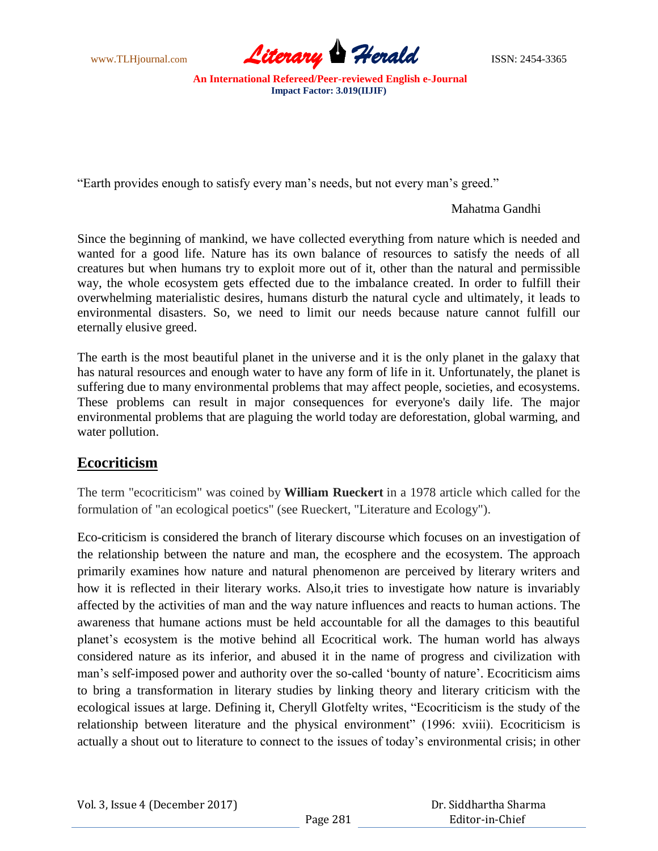

"Earth provides enough to satisfy every man"s needs, but not every man"s greed."

Mahatma Gandhi

Since the beginning of mankind, we have collected everything from nature which is needed and wanted for a good life. Nature has its own balance of resources to satisfy the needs of all creatures but when humans try to exploit more out of it, other than the natural and permissible way, the whole ecosystem gets effected due to the imbalance created. In order to fulfill their overwhelming materialistic desires, humans disturb the natural cycle and ultimately, it leads to environmental disasters. So, we need to limit our needs because nature cannot fulfill our eternally elusive greed.

The earth is the most beautiful planet in the universe and it is the only planet in the galaxy that has natural resources and enough water to have any form of life in it. Unfortunately, the planet is suffering due to many environmental problems that may affect people, societies, and ecosystems. These problems can result in major consequences for everyone's daily life. The major environmental problems that are plaguing the world today are deforestation, global warming, and water pollution.

## **Ecocriticism**

The term "ecocriticism" was coined by **William Rueckert** in a 1978 article which called for the formulation of "an ecological poetics" (see Rueckert, "Literature and Ecology").

Eco-criticism is considered the branch of literary discourse which focuses on an investigation of the relationship between the nature and man, the ecosphere and the ecosystem. The approach primarily examines how nature and natural phenomenon are perceived by literary writers and how it is reflected in their literary works. Also,it tries to investigate how nature is invariably affected by the activities of man and the way nature influences and reacts to human actions. The awareness that humane actions must be held accountable for all the damages to this beautiful planet"s ecosystem is the motive behind all Ecocritical work. The human world has always considered nature as its inferior, and abused it in the name of progress and civilization with man's self-imposed power and authority over the so-called 'bounty of nature'. Ecocriticism aims to bring a transformation in literary studies by linking theory and literary criticism with the ecological issues at large. Defining it, Cheryll Glotfelty writes, "Ecocriticism is the study of the relationship between literature and the physical environment" (1996: xviii). Ecocriticism is actually a shout out to literature to connect to the issues of today"s environmental crisis; in other

|  | Vol. 3, Issue 4 (December 2017) |  |  |
|--|---------------------------------|--|--|
|--|---------------------------------|--|--|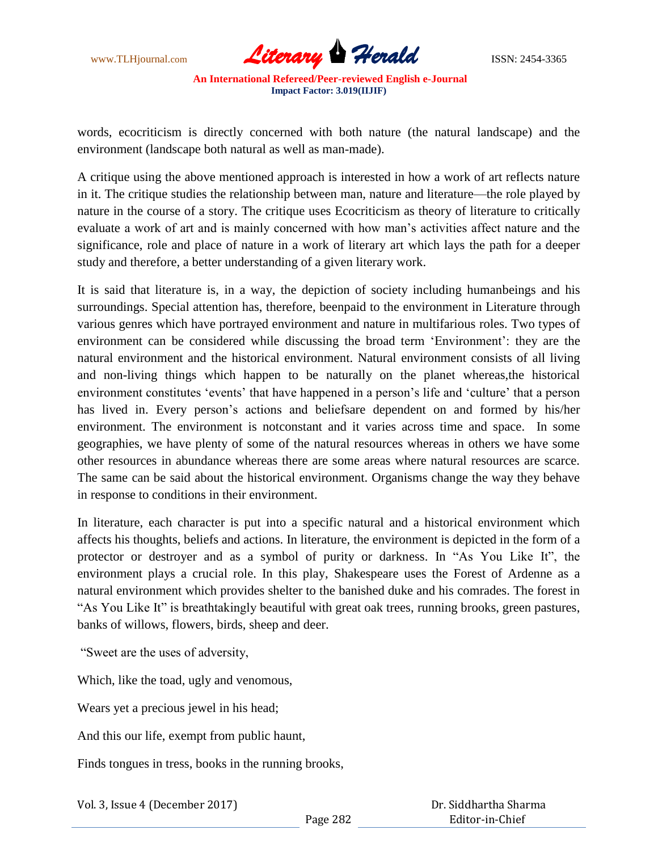

words, ecocriticism is directly concerned with both nature (the natural landscape) and the environment (landscape both natural as well as man-made).

A critique using the above mentioned approach is interested in how a work of art reflects nature in it. The critique studies the relationship between man, nature and literature—the role played by nature in the course of a story. The critique uses Ecocriticism as theory of literature to critically evaluate a work of art and is mainly concerned with how man"s activities affect nature and the significance, role and place of nature in a work of literary art which lays the path for a deeper study and therefore, a better understanding of a given literary work.

It is said that literature is, in a way, the depiction of society including humanbeings and his surroundings. Special attention has, therefore, beenpaid to the environment in Literature through various genres which have portrayed environment and nature in multifarious roles. Two types of environment can be considered while discussing the broad term "Environment": they are the natural environment and the historical environment. Natural environment consists of all living and non-living things which happen to be naturally on the planet whereas,the historical environment constitutes 'events' that have happened in a person's life and 'culture' that a person has lived in. Every person's actions and beliefsare dependent on and formed by his/her environment. The environment is notconstant and it varies across time and space. In some geographies, we have plenty of some of the natural resources whereas in others we have some other resources in abundance whereas there are some areas where natural resources are scarce. The same can be said about the historical environment. Organisms change the way they behave in response to conditions in their environment.

In literature, each character is put into a specific natural and a historical environment which affects his thoughts, beliefs and actions. In literature, the environment is depicted in the form of a protector or destroyer and as a symbol of purity or darkness. In "As You Like It", the environment plays a crucial role. In this play, Shakespeare uses the Forest of Ardenne as a natural environment which provides shelter to the banished duke and his comrades. The forest in "As You Like It" is breathtakingly beautiful with great oak trees, running brooks, green pastures, banks of willows, flowers, birds, sheep and deer.

"Sweet are the uses of adversity,

Which, like the toad, ugly and venomous,

Wears yet a precious jewel in his head;

And this our life, exempt from public haunt,

Finds tongues in tress, books in the running brooks,

Vol. 3, Issue 4 (December 2017)

 Dr. Siddhartha Sharma Editor-in-Chief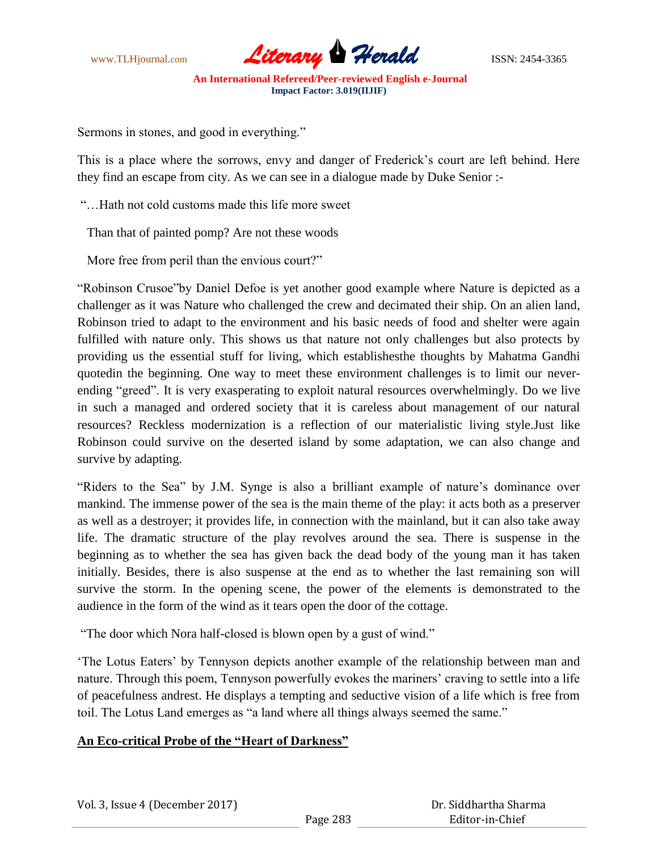

Sermons in stones, and good in everything."

This is a place where the sorrows, envy and danger of Frederick"s court are left behind. Here they find an escape from city. As we can see in a dialogue made by Duke Senior :-

"…Hath not cold customs made this life more sweet

Than that of painted pomp? Are not these woods

More free from peril than the envious court?"

"Robinson Crusoe"by Daniel Defoe is yet another good example where Nature is depicted as a challenger as it was Nature who challenged the crew and decimated their ship. On an alien land, Robinson tried to adapt to the environment and his basic needs of food and shelter were again fulfilled with nature only. This shows us that nature not only challenges but also protects by providing us the essential stuff for living, which establishesthe thoughts by Mahatma Gandhi quotedin the beginning. One way to meet these environment challenges is to limit our neverending "greed". It is very exasperating to exploit natural resources overwhelmingly. Do we live in such a managed and ordered society that it is careless about management of our natural resources? Reckless modernization is a reflection of our materialistic living style.Just like Robinson could survive on the deserted island by some adaptation, we can also change and survive by adapting.

"Riders to the Sea" by J.M. Synge is also a brilliant example of nature's dominance over mankind. The immense power of the sea is the main theme of the play: it acts both as a preserver as well as a destroyer; it provides life, in connection with the mainland, but it can also take away life. The dramatic structure of the play revolves around the sea. There is suspense in the beginning as to whether the sea has given back the dead body of the young man it has taken initially. Besides, there is also suspense at the end as to whether the last remaining son will survive the storm. In the opening scene, the power of the elements is demonstrated to the audience in the form of the wind as it tears open the door of the cottage.

"The door which Nora half-closed is blown open by a gust of wind."

"The Lotus Eaters" by Tennyson depicts another example of the relationship between man and nature. Through this poem, Tennyson powerfully evokes the mariners' craving to settle into a life of peacefulness andrest. He displays a tempting and seductive vision of a life which is free from toil. The Lotus Land emerges as "a land where all things always seemed the same."

#### **An Eco-critical Probe of the "Heart of Darkness"**

Vol. 3, Issue 4 (December 2017)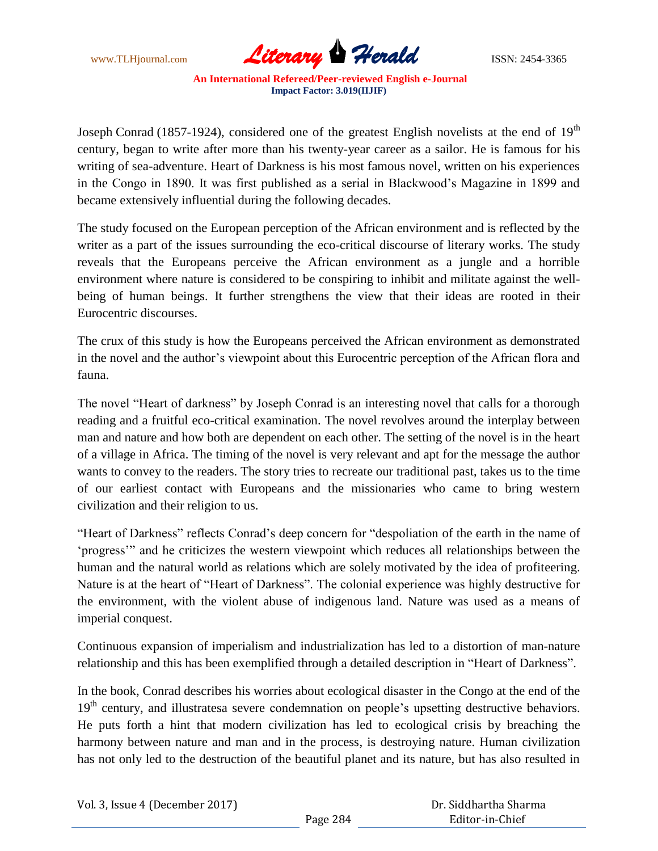

Joseph Conrad (1857-1924), considered one of the greatest English novelists at the end of  $19<sup>th</sup>$ century, began to write after more than his twenty-year career as a sailor. He is famous for his writing of sea-adventure. Heart of Darkness is his most famous novel, written on his experiences in the Congo in 1890. It was first published as a serial in Blackwood"s Magazine in 1899 and became extensively influential during the following decades.

The study focused on the European perception of the African environment and is reflected by the writer as a part of the issues surrounding the eco-critical discourse of literary works. The study reveals that the Europeans perceive the African environment as a jungle and a horrible environment where nature is considered to be conspiring to inhibit and militate against the wellbeing of human beings. It further strengthens the view that their ideas are rooted in their Eurocentric discourses.

The crux of this study is how the Europeans perceived the African environment as demonstrated in the novel and the author"s viewpoint about this Eurocentric perception of the African flora and fauna.

The novel "Heart of darkness" by Joseph Conrad is an interesting novel that calls for a thorough reading and a fruitful eco-critical examination. The novel revolves around the interplay between man and nature and how both are dependent on each other. The setting of the novel is in the heart of a village in Africa. The timing of the novel is very relevant and apt for the message the author wants to convey to the readers. The story tries to recreate our traditional past, takes us to the time of our earliest contact with Europeans and the missionaries who came to bring western civilization and their religion to us.

"Heart of Darkness" reflects Conrad's deep concern for "despoliation of the earth in the name of "progress"" and he criticizes the western viewpoint which reduces all relationships between the human and the natural world as relations which are solely motivated by the idea of profiteering. Nature is at the heart of "Heart of Darkness". The colonial experience was highly destructive for the environment, with the violent abuse of indigenous land. Nature was used as a means of imperial conquest.

Continuous expansion of imperialism and industrialization has led to a distortion of man-nature relationship and this has been exemplified through a detailed description in "Heart of Darkness".

In the book, Conrad describes his worries about ecological disaster in the Congo at the end of the 19<sup>th</sup> century, and illustratesa severe condemnation on people's upsetting destructive behaviors. He puts forth a hint that modern civilization has led to ecological crisis by breaching the harmony between nature and man and in the process, is destroying nature. Human civilization has not only led to the destruction of the beautiful planet and its nature, but has also resulted in

| Vol. 3, Issue 4 (December 2017) |          | Dr. Siddhartha Sharma |
|---------------------------------|----------|-----------------------|
|                                 | Page 284 | Editor-in-Chief       |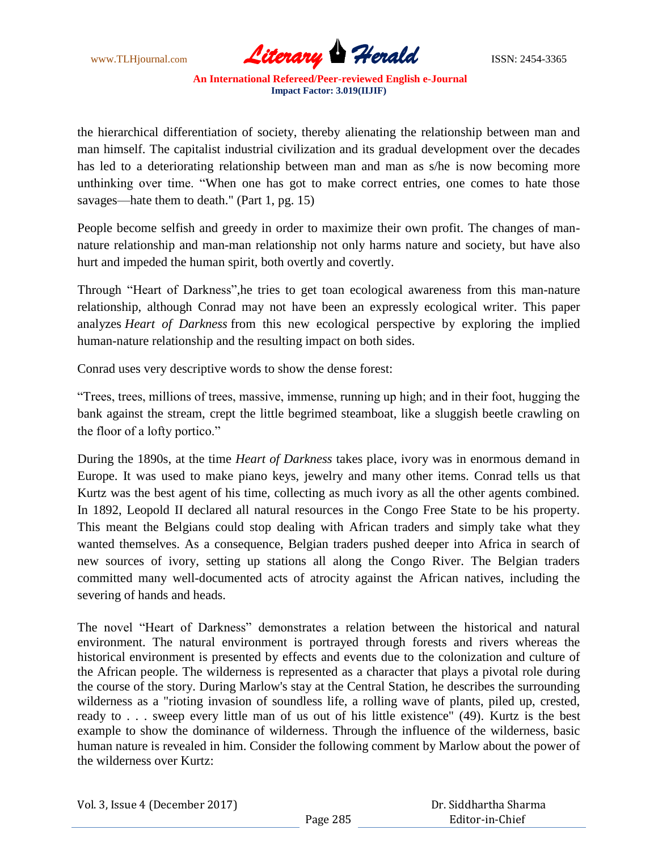www.TLHjournal.com **Literary Herald Herald ISSN: 2454-3365** 

the hierarchical differentiation of society, thereby alienating the relationship between man and man himself. The capitalist industrial civilization and its gradual development over the decades has led to a deteriorating relationship between man and man as s/he is now becoming more unthinking over time. "When one has got to make correct entries, one comes to hate those savages—hate them to death." (Part 1, pg. 15)

People become selfish and greedy in order to maximize their own profit. The changes of mannature relationship and man-man relationship not only harms nature and society, but have also hurt and impeded the human spirit, both overtly and covertly.

Through "Heart of Darkness",he tries to get toan ecological awareness from this man-nature relationship, although Conrad may not have been an expressly ecological writer. This paper analyzes *Heart of Darkness* from this new ecological perspective by exploring the implied human-nature relationship and the resulting impact on both sides.

Conrad uses very descriptive words to show the dense forest:

"Trees, trees, millions of trees, massive, immense, running up high; and in their foot, hugging the bank against the stream, crept the little begrimed steamboat, like a sluggish beetle crawling on the floor of a lofty portico."

During the 1890s, at the time *Heart of Darkness* takes place, ivory was in enormous demand in Europe. It was used to make piano keys, jewelry and many other items. Conrad tells us that Kurtz was the best agent of his time, collecting as much ivory as all the other agents combined. In 1892, Leopold II declared all natural resources in the Congo Free State to be his property. This meant the Belgians could stop dealing with African traders and simply take what they wanted themselves. As a consequence, Belgian traders pushed deeper into Africa in search of new sources of ivory, setting up stations all along the Congo River. The Belgian traders committed many well-documented acts of atrocity against the African natives, including the severing of hands and heads.

The novel "Heart of Darkness" demonstrates a relation between the historical and natural environment. The natural environment is portrayed through forests and rivers whereas the historical environment is presented by effects and events due to the colonization and culture of the African people. The wilderness is represented as a character that plays a pivotal role during the course of the story. During Marlow's stay at the Central Station, he describes the surrounding wilderness as a "rioting invasion of soundless life, a rolling wave of plants, piled up, crested, ready to . . . sweep every little man of us out of his little existence" (49). Kurtz is the best example to show the dominance of wilderness. Through the influence of the wilderness, basic human nature is revealed in him. Consider the following comment by Marlow about the power of the wilderness over Kurtz:

|  | Vol. 3, Issue 4 (December 2017) |
|--|---------------------------------|
|--|---------------------------------|

 Dr. Siddhartha Sharma Editor-in-Chief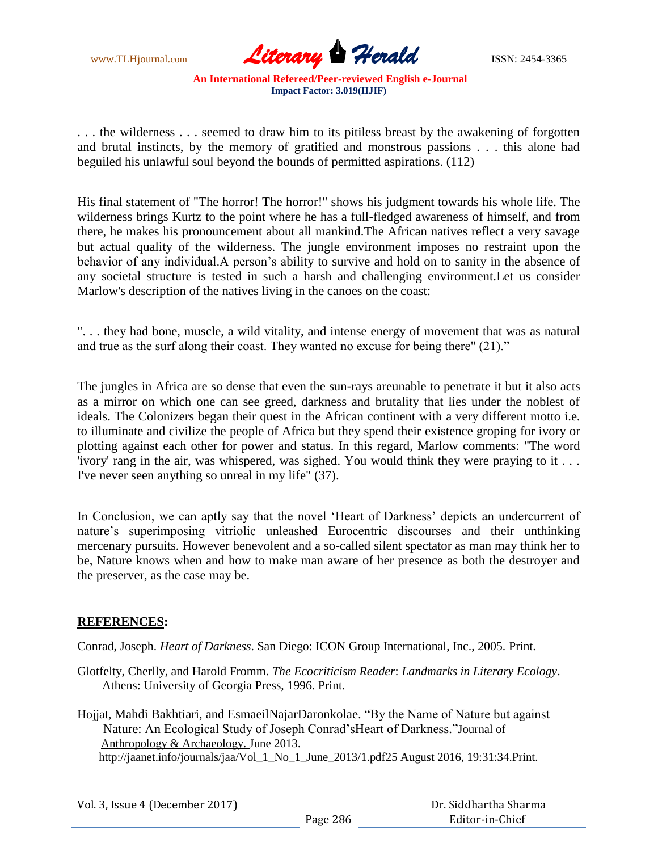

. . . the wilderness . . . seemed to draw him to its pitiless breast by the awakening of forgotten and brutal instincts, by the memory of gratified and monstrous passions . . . this alone had beguiled his unlawful soul beyond the bounds of permitted aspirations. (112)

His final statement of "The horror! The horror!" shows his judgment towards his whole life. The wilderness brings Kurtz to the point where he has a full-fledged awareness of himself, and from there, he makes his pronouncement about all mankind.The African natives reflect a very savage but actual quality of the wilderness. The jungle environment imposes no restraint upon the behavior of any individual. A person's ability to survive and hold on to sanity in the absence of any societal structure is tested in such a harsh and challenging environment.Let us consider Marlow's description of the natives living in the canoes on the coast:

". . . they had bone, muscle, a wild vitality, and intense energy of movement that was as natural and true as the surf along their coast. They wanted no excuse for being there" (21)."

The jungles in Africa are so dense that even the sun-rays areunable to penetrate it but it also acts as a mirror on which one can see greed, darkness and brutality that lies under the noblest of ideals. The Colonizers began their quest in the African continent with a very different motto i.e. to illuminate and civilize the people of Africa but they spend their existence groping for ivory or plotting against each other for power and status. In this regard, Marlow comments: "The word 'ivory' rang in the air, was whispered, was sighed. You would think they were praying to it . . . I've never seen anything so unreal in my life" (37).

In Conclusion, we can aptly say that the novel 'Heart of Darkness' depicts an undercurrent of nature"s superimposing vitriolic unleashed Eurocentric discourses and their unthinking mercenary pursuits. However benevolent and a so-called silent spectator as man may think her to be, Nature knows when and how to make man aware of her presence as both the destroyer and the preserver, as the case may be.

#### **REFERENCES:**

Conrad, Joseph. *Heart of Darkness*. San Diego: ICON Group International, Inc., 2005. Print.

Glotfelty, Cherlly, and Harold Fromm. *The Ecocriticism Reader*: *Landmarks in Literary Ecology*. Athens: University of Georgia Press, 1996. Print.

Hojjat, Mahdi Bakhtiari, and EsmaeilNajarDaronkolae. "By the Name of Nature but against Nature: An Ecological Study of Joseph Conrad"sHeart of Darkness."Journal of Anthropology & Archaeology. June 2013. http://jaanet.info/journals/jaa/Vol\_1\_No\_1\_June\_2013/1.pdf25 August 2016, 19:31:34.Print.

| Vol. 3, Issue 4 (December 2017) |          | Dr. Siddhartha Sharma |
|---------------------------------|----------|-----------------------|
|                                 | Page 286 | Editor-in-Chief       |